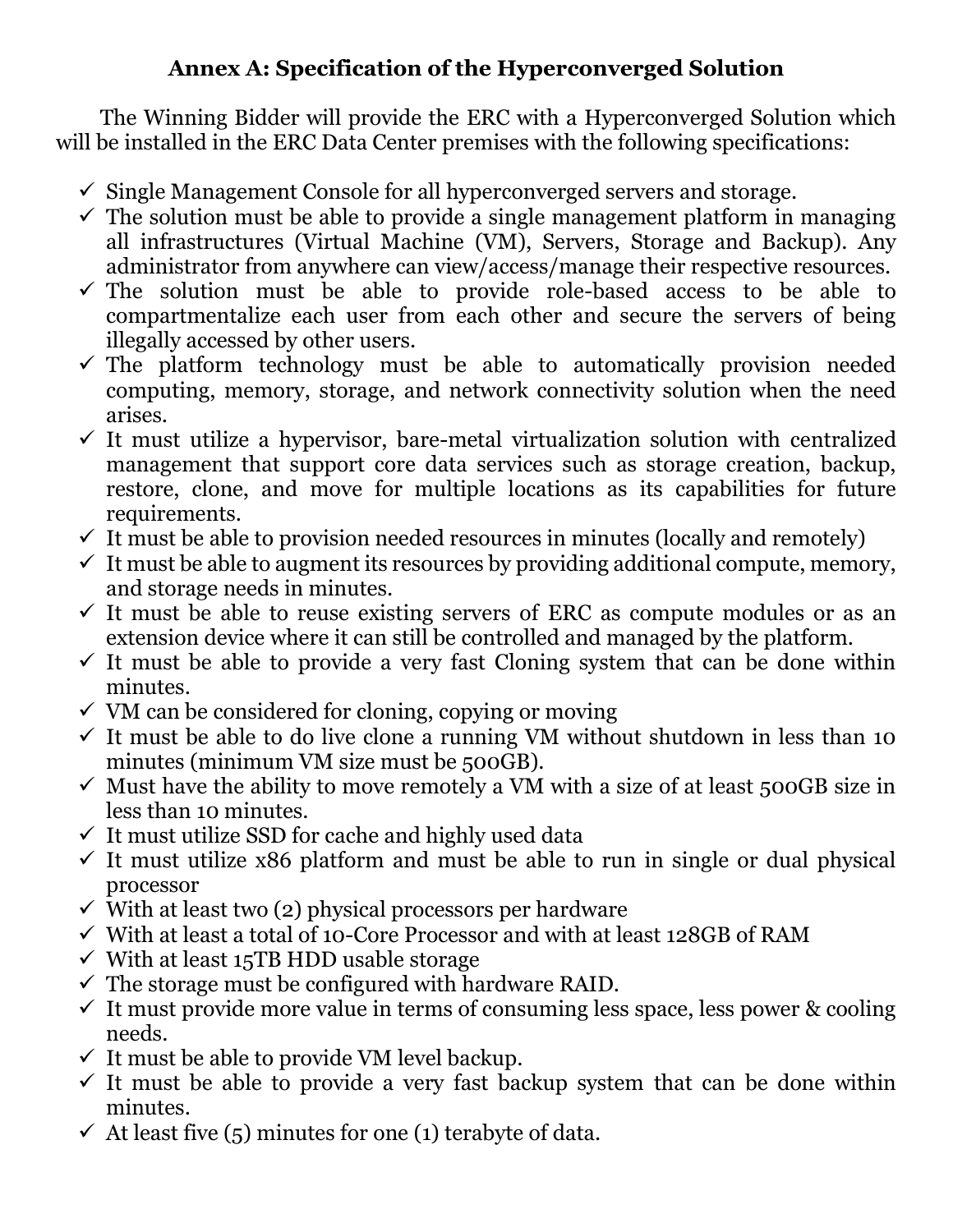## **Annex A: Specification of the Hyperconverged Solution**

The Winning Bidder will provide the ERC with a Hyperconverged Solution which will be installed in the ERC Data Center premises with the following specifications:

- $\checkmark$  Single Management Console for all hyperconverged servers and storage.
- $\checkmark$  The solution must be able to provide a single management platform in managing all infrastructures (Virtual Machine (VM), Servers, Storage and Backup). Any administrator from anywhere can view/access/manage their respective resources.
- $\checkmark$  The solution must be able to provide role-based access to be able to compartmentalize each user from each other and secure the servers of being illegally accessed by other users.
- $\checkmark$  The platform technology must be able to automatically provision needed computing, memory, storage, and network connectivity solution when the need arises.
- $\checkmark$  It must utilize a hypervisor, bare-metal virtualization solution with centralized management that support core data services such as storage creation, backup, restore, clone, and move for multiple locations as its capabilities for future requirements.
- $\checkmark$  It must be able to provision needed resources in minutes (locally and remotely)
- $\checkmark$  It must be able to augment its resources by providing additional compute, memory, and storage needs in minutes.
- $\checkmark$  It must be able to reuse existing servers of ERC as compute modules or as an extension device where it can still be controlled and managed by the platform.
- $\checkmark$  It must be able to provide a very fast Cloning system that can be done within minutes.
- $\checkmark$  VM can be considered for cloning, copying or moving
- $\checkmark$  It must be able to do live clone a running VM without shutdown in less than 10 minutes (minimum VM size must be 500GB).
- $\checkmark$  Must have the ability to move remotely a VM with a size of at least 500GB size in less than 10 minutes.
- $\checkmark$  It must utilize SSD for cache and highly used data
- $\checkmark$  It must utilize x86 platform and must be able to run in single or dual physical processor
- $\checkmark$  With at least two (2) physical processors per hardware
- ✓ With at least a total of 10-Core Processor and with at least 128GB of RAM
- $\checkmark$  With at least 15TB HDD usable storage
- $\checkmark$  The storage must be configured with hardware RAID.
- $\checkmark$  It must provide more value in terms of consuming less space, less power & cooling needs.
- $\checkmark$  It must be able to provide VM level backup.
- $\checkmark$  It must be able to provide a very fast backup system that can be done within minutes.
- $\checkmark$  At least five (5) minutes for one (1) terabyte of data.